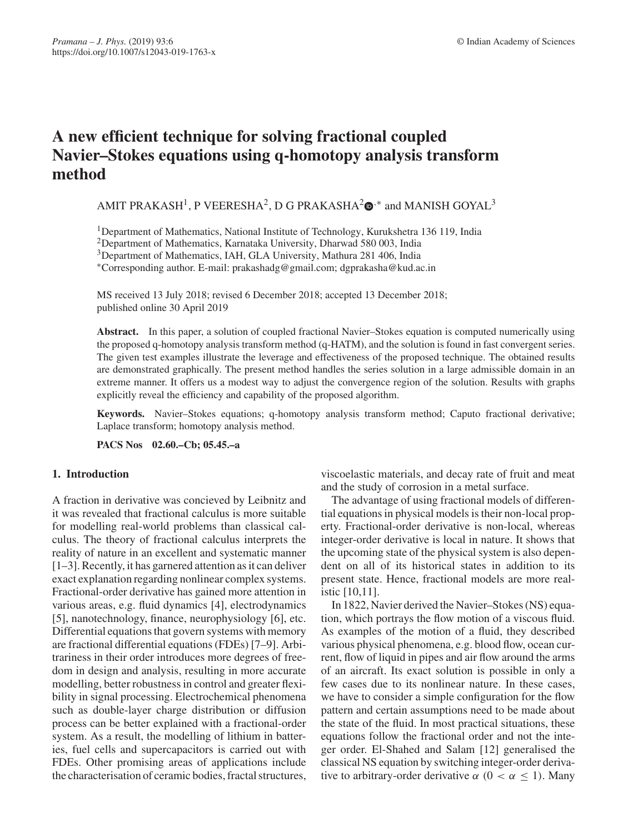# **A new efficient technique for solving fractional coupled Navier–Stokes equations using q-homotopy analysis transform method**

AMIT PRAKASH<sup>1</sup>, P VEERESHA<sup>2</sup>, D G PRAKASHA<sup>2</sup> $\Phi$ <sup>,\*</sup> and MANISH GOYAL<sup>3</sup>

1Department of Mathematics, National Institute of Technology, Kurukshetra 136 119, India

2Department of Mathematics, Karnataka University, Dharwad 580 003, India

3Department of Mathematics, IAH, GLA University, Mathura 281 406, India

∗Corresponding author. E-mail: prakashadg@gmail.com; dgprakasha@kud.ac.in

MS received 13 July 2018; revised 6 December 2018; accepted 13 December 2018; published online 30 April 2019

**Abstract.** In this paper, a solution of coupled fractional Navier–Stokes equation is computed numerically using the proposed q-homotopy analysis transform method (q-HATM), and the solution is found in fast convergent series. The given test examples illustrate the leverage and effectiveness of the proposed technique. The obtained results are demonstrated graphically. The present method handles the series solution in a large admissible domain in an extreme manner. It offers us a modest way to adjust the convergence region of the solution. Results with graphs explicitly reveal the efficiency and capability of the proposed algorithm.

**Keywords.** Navier–Stokes equations; q-homotopy analysis transform method; Caputo fractional derivative; Laplace transform; homotopy analysis method.

**PACS Nos 02.60.–Cb; 05.45.–a**

# **1. Introduction**

A fraction in derivative was concieved by Leibnitz and it was revealed that fractional calculus is more suitable for modelling real-world problems than classical calculus. The theory of fractional calculus interprets the reality of nature in an excellent and systematic manner [1–3]. Recently, it has garnered attention as it can deliver exact explanation regarding nonlinear complex systems. Fractional-order derivative has gained more attention in various areas, e.g. fluid dynamics [4], electrodynamics [5], nanotechnology, finance, neurophysiology [6], etc. Differential equations that govern systems with memory are fractional differential equations (FDEs) [7–9]. Arbitrariness in their order introduces more degrees of freedom in design and analysis, resulting in more accurate modelling, better robustness in control and greater flexibility in signal processing. Electrochemical phenomena such as double-layer charge distribution or diffusion process can be better explained with a fractional-order system. As a result, the modelling of lithium in batteries, fuel cells and supercapacitors is carried out with FDEs. Other promising areas of applications include the characterisation of ceramic bodies, fractal structures, viscoelastic materials, and decay rate of fruit and meat and the study of corrosion in a metal surface.

The advantage of using fractional models of differential equations in physical models is their non-local property. Fractional-order derivative is non-local, whereas integer-order derivative is local in nature. It shows that the upcoming state of the physical system is also dependent on all of its historical states in addition to its present state. Hence, fractional models are more realistic [10,11].

In 1822, Navier derived the Navier–Stokes (NS) equation, which portrays the flow motion of a viscous fluid. As examples of the motion of a fluid, they described various physical phenomena, e.g. blood flow, ocean current, flow of liquid in pipes and air flow around the arms of an aircraft. Its exact solution is possible in only a few cases due to its nonlinear nature. In these cases, we have to consider a simple configuration for the flow pattern and certain assumptions need to be made about the state of the fluid. In most practical situations, these equations follow the fractional order and not the integer order. El-Shahed and Salam [12] generalised the classical NS equation by switching integer-order derivative to arbitrary-order derivative  $\alpha$  ( $0 < \alpha \le 1$ ). Many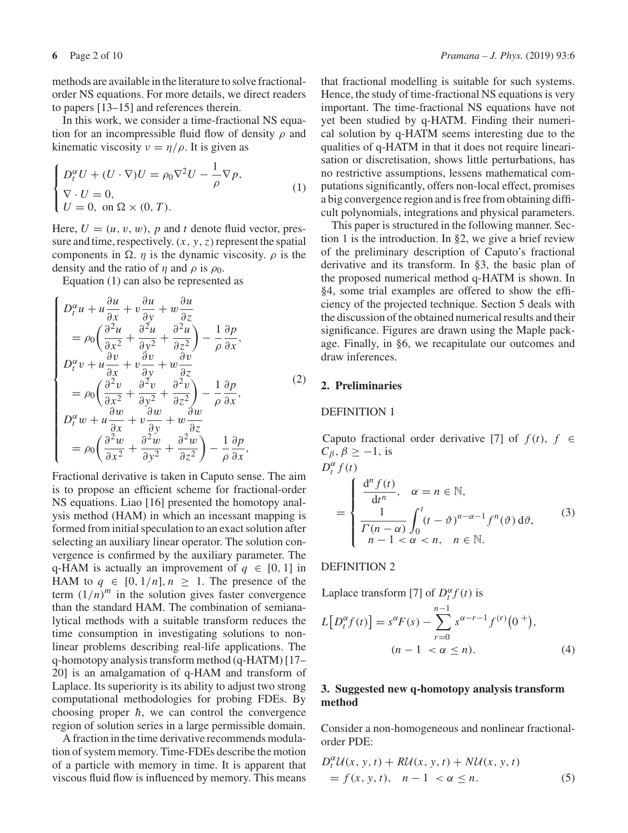methods are available in the literature to solve fractionalorder NS equations. For more details, we direct readers to papers [13–15] and references therein.

In this work, we consider a time-fractional NS equation for an incompressible fluid flow of density  $\rho$  and kinematic viscosity  $v = \eta/\rho$ . It is given as

$$
\begin{cases}\nD_t^{\alpha} U + (U \cdot \nabla) U = \rho_0 \nabla^2 U - \frac{1}{\rho} \nabla p, \\
\nabla \cdot U = 0, \\
U = 0, \text{ on } \Omega \times (0, T).\n\end{cases} (1)
$$

Here,  $U = (u, v, w)$ , p and t denote fluid vector, pressure and time, respectively.  $(x, y, z)$  represent the spatial components in  $\Omega$ . *η* is the dynamic viscosity. *ρ* is the density and the ratio of  $\eta$  and  $\rho$  is  $\rho_0$ .

Equation (1) can also be represented as

$$
\begin{cases}\nD_t^{\alpha} u + u \frac{\partial u}{\partial x} + v \frac{\partial u}{\partial y} + w \frac{\partial u}{\partial z} \\
= \rho_0 \left( \frac{\partial^2 u}{\partial x^2} + \frac{\partial^2 u}{\partial y^2} + \frac{\partial^2 u}{\partial z^2} \right) - \frac{1}{\rho} \frac{\partial p}{\partial x}, \\
D_t^{\alpha} v + u \frac{\partial v}{\partial x} + v \frac{\partial v}{\partial y} + w \frac{\partial v}{\partial z} \\
= \rho_0 \left( \frac{\partial^2 v}{\partial x^2} + \frac{\partial^2 v}{\partial y^2} + \frac{\partial^2 v}{\partial z^2} \right) - \frac{1}{\rho} \frac{\partial p}{\partial x}, \\
D_t^{\alpha} w + u \frac{\partial w}{\partial x} + v \frac{\partial w}{\partial y} + w \frac{\partial w}{\partial z} \\
= \rho_0 \left( \frac{\partial^2 w}{\partial x^2} + \frac{\partial^2 w}{\partial y^2} + \frac{\partial^2 w}{\partial z^2} \right) - \frac{1}{\rho} \frac{\partial p}{\partial x},\n\end{cases} (2)
$$

Fractional derivative is taken in Caputo sense. The aim is to propose an efficient scheme for fractional-order NS equations. Liao [16] presented the homotopy analysis method (HAM) in which an incessant mapping is formed from initial speculation to an exact solution after selecting an auxiliary linear operator. The solution convergence is confirmed by the auxiliary parameter. The q-HAM is actually an improvement of  $q \in [0, 1]$  in HAM to  $q \in [0, 1/n]$ ,  $n \geq 1$ . The presence of the term  $(1/n)^m$  in the solution gives faster convergence than the standard HAM. The combination of semianalytical methods with a suitable transform reduces the time consumption in investigating solutions to nonlinear problems describing real-life applications. The q-homotopy analysis transform method (q-HATM) [17– 20] is an amalgamation of q-HAM and transform of Laplace. Its superiority is its ability to adjust two strong computational methodologies for probing FDEs. By choosing proper  $\hbar$ , we can control the convergence region of solution series in a large permissible domain.

A fraction in the time derivative recommends modulation of system memory. Time-FDEs describe the motion of a particle with memory in time. It is apparent that viscous fluid flow is influenced by memory. This means that fractional modelling is suitable for such systems. Hence, the study of time-fractional NS equations is very important. The time-fractional NS equations have not yet been studied by q-HATM. Finding their numerical solution by q-HATM seems interesting due to the qualities of q-HATM in that it does not require linearisation or discretisation, shows little perturbations, has no restrictive assumptions, lessens mathematical computations significantly, offers non-local effect, promises a big convergence region and is free from obtaining difficult polynomials, integrations and physical parameters.

This paper is structured in the following manner. Section 1 is the introduction. In §2, we give a brief review of the preliminary description of Caputo's fractional derivative and its transform. In §3, the basic plan of the proposed numerical method q-HATM is shown. In §4, some trial examples are offered to show the efficiency of the projected technique. Section 5 deals with the discussion of the obtained numerical results and their significance. Figures are drawn using the Maple package. Finally, in §6, we recapitulate our outcomes and draw inferences.

## **2. Preliminaries**

## DEFINITION 1

Caputo fractional order derivative [7] of  $f(t)$ ,  $f \in$  $C_{\beta}, \beta \geq -1$ , is  $D_t^{\alpha} f(t)$ =  $\sqrt{ }$  $\int$  $\overline{\mathcal{L}}$  $\frac{d^n f(t)}{dt^n}$ ,  $\alpha = n \in \mathbb{N}$ , 1  $\Gamma(n-\alpha)$  $\int_0^t$  $\int_{0}^{1} (t - \vartheta)^{n - \alpha - 1} f^{n}(\vartheta) d\vartheta,$  $n-1 < \alpha < n, \quad n \in \mathbb{N}.$ (3)

#### DEFINITION 2

Laplace transform [7] of  $D_t^{\alpha} f(t)$  is

$$
L[D_t^{\alpha} f(t)] = s^{\alpha} F(s) - \sum_{r=0}^{n-1} s^{\alpha-r-1} f^{(r)}(0^+),
$$
  
(*n* - 1 <  $\alpha \le n$ ). (4)

# **3. Suggested new q-homotopy analysis transform method**

Consider a non-homogeneous and nonlinear fractionalorder PDE:

$$
D_t^{\alpha} \mathcal{U}(x, y, t) + R \mathcal{U}(x, y, t) + N \mathcal{U}(x, y, t)
$$
  
=  $f(x, y, t), \quad n - 1 < \alpha \leq n.$  (5)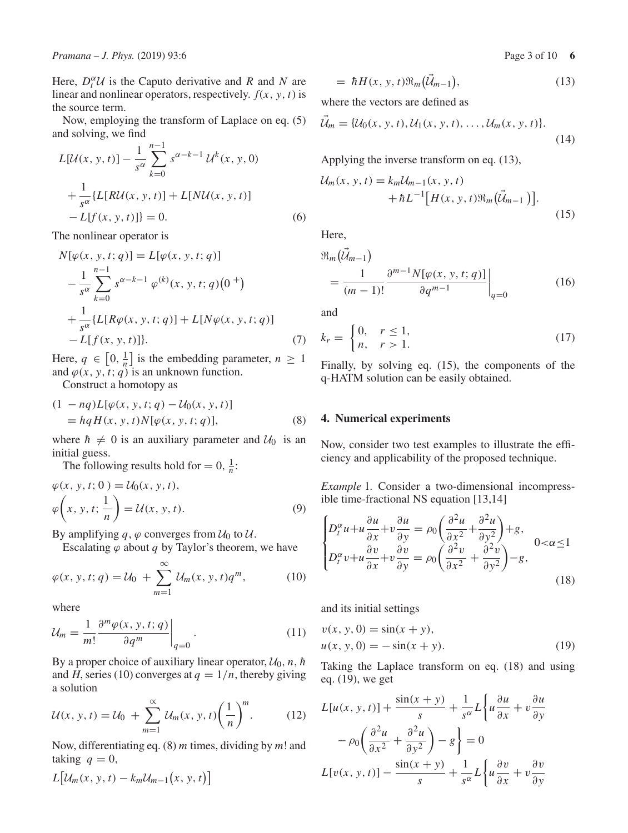Here,  $D_t^{\alpha} U$  is the Caputo derivative and *R* and *N* are linear and nonlinear operators, respectively.  $f(x, y, t)$  is the source term.

Now, employing the transform of Laplace on eq. (5) and solving, we find

$$
L[\mathcal{U}(x, y, t)] - \frac{1}{s^{\alpha}} \sum_{k=0}^{n-1} s^{\alpha - k - 1} \mathcal{U}^{k}(x, y, 0)
$$
  
+ 
$$
\frac{1}{s^{\alpha}} \{L[R\mathcal{U}(x, y, t)] + L[N\mathcal{U}(x, y, t)] - L[f(x, y, t)]\} = 0.
$$
 (6)

The nonlinear operator is

$$
N[\varphi(x, y, t; q)] = L[\varphi(x, y, t; q)]
$$
  
\n
$$
-\frac{1}{s^{\alpha}} \sum_{k=0}^{n-1} s^{\alpha - k - 1} \varphi^{(k)}(x, y, t; q) (0^+)
$$
  
\n
$$
+\frac{1}{s^{\alpha}} \{L[R\varphi(x, y, t; q)] + L[N\varphi(x, y, t; q)] - L[f(x, y, t)]\}.
$$
  
\n(7)

Here,  $q \in [0, \frac{1}{n}]$  is the embedding parameter,  $n \geq 1$ and  $\varphi(x, y, t; q)$  is an unknown function.

Construct a homotopy as

$$
(1 - nq)L[\varphi(x, y, t; q) - U_0(x, y, t)]
$$
  
=  $hqH(x, y, t)N[\varphi(x, y, t; q)],$  (8)

where  $\hbar \neq 0$  is an auxiliary parameter and  $U_0$  is an initial guess.

The following results hold for  $= 0$ ,  $\frac{1}{n}$ :

$$
\varphi(x, y, t; 0) = \mathcal{U}_0(x, y, t),
$$
  

$$
\varphi\left(x, y, t; \frac{1}{n}\right) = \mathcal{U}(x, y, t).
$$
 (9)

By amplifying  $q$ ,  $\varphi$  converges from  $\mathcal{U}_0$  to  $\mathcal{U}$ .

Escalating  $\varphi$  about  $q$  by Taylor's theorem, we have

$$
\varphi(x, y, t; q) = \mathcal{U}_0 + \sum_{m=1}^{\infty} \mathcal{U}_m(x, y, t) q^m,
$$
 (10)

where

$$
\mathcal{U}_m = \frac{1}{m!} \frac{\partial^m \varphi(x, y, t; q)}{\partial q^m} \bigg|_{q=0} \,. \tag{11}
$$

By a proper choice of auxiliary linear operator,  $U_0$ , *n*, *h* and *H*, series (10) converges at  $q = 1/n$ , thereby giving a solution

$$
\mathcal{U}(x, y, t) = \mathcal{U}_0 + \sum_{m=1}^{\infty} \mathcal{U}_m(x, y, t) \left(\frac{1}{n}\right)^m.
$$
 (12)

Now, differentiating eq. (8) *m* times, dividing by *m*! and taking  $q = 0$ ,

$$
L\big[\mathcal{U}_m(x, y, t) - k_m \mathcal{U}_{m-1}\big(x, y, t\big)\big]
$$

$$
= \hbar H(x, y, t) \Re_m (\vec{\mathcal{U}}_{m-1}), \tag{13}
$$

where the vectors are defined as

$$
\mathcal{U}_m = \{ \mathcal{U}_0(x, y, t), \mathcal{U}_1(x, y, t), \dots, \mathcal{U}_m(x, y, t) \}.
$$
\n(14)

Applying the inverse transform on eq. (13),

$$
\mathcal{U}_m(x, y, t) = k_m \mathcal{U}_{m-1}(x, y, t) + \hbar L^{-1} \big[ H(x, y, t) \Re_m \big( \vec{\mathcal{U}}_{m-1} \big) \big].
$$
\n(15)

Here,

$$
\mathfrak{R}_{m}(\vec{\mathcal{U}}_{m-1}) = \frac{1}{(m-1)!} \frac{\partial^{m-1} N[\varphi(x, y, t; q)]}{\partial q^{m-1}} \Big|_{q=0}
$$
\n(16)

and

$$
k_r = \begin{cases} 0, & r \le 1, \\ n, & r > 1. \end{cases} \tag{17}
$$

Finally, by solving eq. (15), the components of the q-HATM solution can be easily obtained.

## **4. Numerical experiments**

Now, consider two test examples to illustrate the efficiency and applicability of the proposed technique.

*Example* 1*.* Consider a two-dimensional incompressible time-fractional NS equation [13,14]

$$
\begin{cases}\nD_t^{\alpha}u + u \frac{\partial u}{\partial x} + v \frac{\partial u}{\partial y} = \rho_0 \left( \frac{\partial^2 u}{\partial x^2} + \frac{\partial^2 u}{\partial y^2} \right) + g, \\
D_t^{\alpha}v + u \frac{\partial v}{\partial x} + v \frac{\partial v}{\partial y} = \rho_0 \left( \frac{\partial^2 v}{\partial x^2} + \frac{\partial^2 v}{\partial y^2} \right) - g,\n\end{cases} \quad 0 < \alpha \le 1
$$
\n(18)

and its initial settings

$$
v(x, y, 0) = \sin(x + y), u(x, y, 0) = -\sin(x + y).
$$
 (19)

Taking the Laplace transform on eq. (18) and using eq. (19), we get

$$
L[u(x, y, t)] + \frac{\sin(x + y)}{s} + \frac{1}{s^{\alpha}}L\left\{u\frac{\partial u}{\partial x} + v\frac{\partial u}{\partial y} - \rho_0\left(\frac{\partial^2 u}{\partial x^2} + \frac{\partial^2 u}{\partial y^2}\right) - g\right\} = 0
$$
  

$$
L[v(x, y, t)] - \frac{\sin(x + y)}{s} + \frac{1}{s^{\alpha}}L\left\{u\frac{\partial v}{\partial x} + v\frac{\partial v}{\partial y}\right\}
$$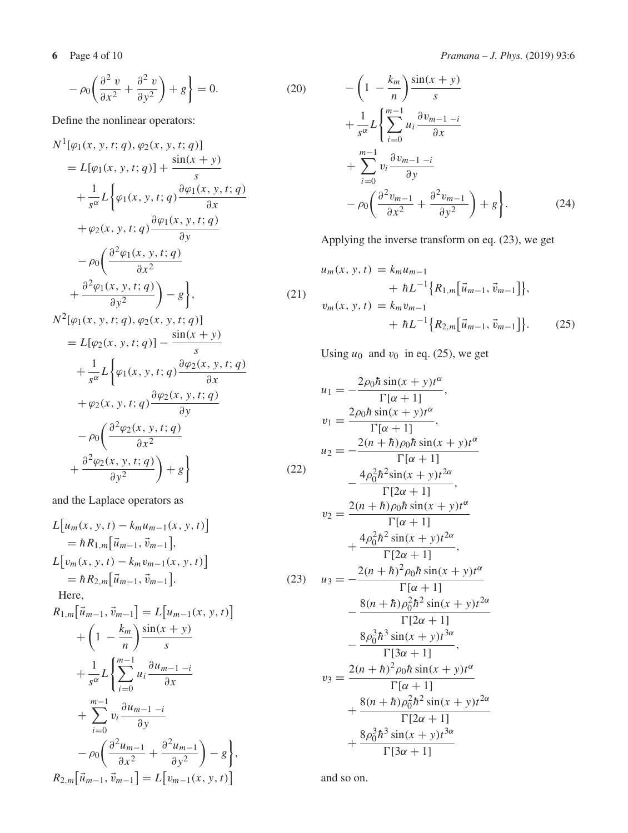$$
-\rho_0 \left(\frac{\partial^2 v}{\partial x^2} + \frac{\partial^2 v}{\partial y^2}\right) + g\right\} = 0.
$$
\n(20)

Define the nonlinear operators:

$$
N^{1}[\varphi_{1}(x, y, t; q), \varphi_{2}(x, y, t; q)]
$$
  
\n
$$
= L[\varphi_{1}(x, y, t; q)] + \frac{\sin(x + y)}{s}
$$
  
\n
$$
+ \frac{1}{s^{\alpha}}L\left\{\varphi_{1}(x, y, t; q)\frac{\partial\varphi_{1}(x, y, t; q)}{\partial x}
$$
  
\n
$$
+ \varphi_{2}(x, y, t; q)\frac{\partial\varphi_{1}(x, y, t; q)}{\partial y}
$$
  
\n
$$
- \rho_{0}\left(\frac{\partial^{2}\varphi_{1}(x, y, t; q)}{\partial x^{2}}\right)
$$
  
\n
$$
+ \frac{\partial^{2}\varphi_{1}(x, y, t; q)}{\partial y^{2}}\right) - g\left\},
$$
  
\n
$$
N^{2}[\varphi_{1}(x, y, t; q), \varphi_{2}(x, y, t; q)]
$$
\n(21)

$$
\begin{aligned}\n &\n\nabla^2[\varphi_1(x, y, t; q), \varphi_2(x, y, t; q)] \\
&= L[\varphi_2(x, y, t; q)] - \frac{\sin(x + y)}{s} \\
&\quad + \frac{1}{s^\alpha} L\left\{\varphi_1(x, y, t; q) \frac{\partial \varphi_2(x, y, t; q)}{\partial x} \\
&\quad + \varphi_2(x, y, t; q) \frac{\partial \varphi_2(x, y, t; q)}{\partial y} \\
&\quad - \rho_0 \left(\frac{\partial^2 \varphi_2(x, y, t; q)}{\partial x^2} + \frac{\partial^2 \varphi_2(x, y, t; q)}{\partial y^2}\right) + g\right\}\n\end{aligned}\n\tag{22}
$$

and the Laplace operators as

$$
L[u_m(x, y, t) - k_m u_{m-1}(x, y, t)]
$$
  
=  $\hbar R_{1,m}[\vec{u}_{m-1}, \vec{v}_{m-1}],$   

$$
L[v_m(x, y, t) - k_m v_{m-1}(x, y, t)]
$$
  
=  $\hbar R_{2,m}[\vec{u}_{m-1}, \vec{v}_{m-1}].$  (23)

Here,

$$
R_{1,m}[\vec{u}_{m-1}, \vec{v}_{m-1}] = L[u_{m-1}(x, y, t)] + (1 - \frac{k_m}{n}) \frac{\sin(x + y)}{s} + \frac{1}{s^{\alpha}} L\left\{\sum_{i=0}^{m-1} u_i \frac{\partial u_{m-1-i}}{\partial x} + \sum_{i=0}^{m-1} v_i \frac{\partial u_{m-1-i}}{\partial y} - \rho_0 \left(\frac{\partial^2 u_{m-1}}{\partial x^2} + \frac{\partial^2 u_{m-1}}{\partial y^2}\right) - g\right\},\newline R_{2,m}[\vec{u}_{m-1}, \vec{v}_{m-1}] = L[v_{m-1}(x, y, t)]
$$

**6** Page 4 of 10 *Pramana – J. Phys.* (2019) 93:6

$$
-\left(1 - \frac{k_m}{n}\right) \frac{\sin(x+y)}{s}
$$
  
+  $\frac{1}{s^{\alpha}} L \left\{ \sum_{i=0}^{m-1} u_i \frac{\partial v_{m-1-i}}{\partial x} + \sum_{i=0}^{m-1} v_i \frac{\partial v_{m-1-i}}{\partial y} - \rho_0 \left( \frac{\partial^2 v_{m-1}}{\partial x^2} + \frac{\partial^2 v_{m-1}}{\partial y^2} \right) + g \right\}.$  (24)

Applying the inverse transform on eq. (23), we get

$$
u_m(x, y, t) = k_m u_{m-1}
$$
  
+  $\hbar L^{-1} \{ R_{1,m} [\vec{u}_{m-1}, \vec{v}_{m-1}] \},$   

$$
v_m(x, y, t) = k_m v_{m-1}
$$
  
+  $\hbar L^{-1} \{ R_{2,m} [\vec{u}_{m-1}, \vec{v}_{m-1}] \}.$  (25)

Using  $u_0$  and  $v_0$  in eq. (25), we get

$$
u_1 = -\frac{2\rho_0 \hbar \sin(x + y)t^{\alpha}}{\Gamma[\alpha + 1]},
$$
  
\n
$$
v_1 = \frac{2\rho_0 \hbar \sin(x + y)t^{\alpha}}{\Gamma[\alpha + 1]},
$$
  
\n
$$
u_2 = -\frac{2(n + \hbar)\rho_0 \hbar \sin(x + y)t^{\alpha}}{\Gamma[\alpha + 1]},
$$
  
\n
$$
v_2 = \frac{4\rho_0^2 \hbar^2 \sin(x + y)t^{2\alpha}}{\Gamma[2\alpha + 1]},
$$
  
\n
$$
v_2 = \frac{2(n + \hbar)\rho_0 \hbar \sin(x + y)t^{\alpha}}{\Gamma[\alpha + 1]}
$$
  
\n
$$
u_3 = -\frac{2(n + \hbar)^2 \rho_0 \hbar \sin(x + y)t^{\alpha}}{\Gamma[2\alpha + 1]},
$$
  
\n
$$
u_3 = -\frac{2(n + \hbar)^2 \rho_0 \hbar \sin(x + y)t^{\alpha}}{\Gamma[\alpha + 1]}
$$
  
\n
$$
-\frac{8(\hbar + \hbar)\rho_0^2 \hbar^2 \sin(x + y)t^{2\alpha}}{\Gamma[2\alpha + 1]},
$$
  
\n
$$
v_3 = \frac{2(n + \hbar)^2 \rho_0 \hbar \sin(x + y)t^{\alpha}}{\Gamma[\alpha + 1]},
$$
  
\n
$$
v_3 = \frac{2(n + \hbar)^2 \rho_0 \hbar \sin(x + y)t^{\alpha}}{\Gamma[\alpha + 1]}
$$
  
\n
$$
+\frac{8(n + \hbar)\rho_0^2 \hbar^2 \sin(x + y)t^{2\alpha}}{\Gamma[2\alpha + 1]}
$$
  
\n
$$
+\frac{8\rho_0^3 \hbar^3 \sin(x + y)t^{3\alpha}}{\Gamma[3\alpha + 1]}
$$

and so on.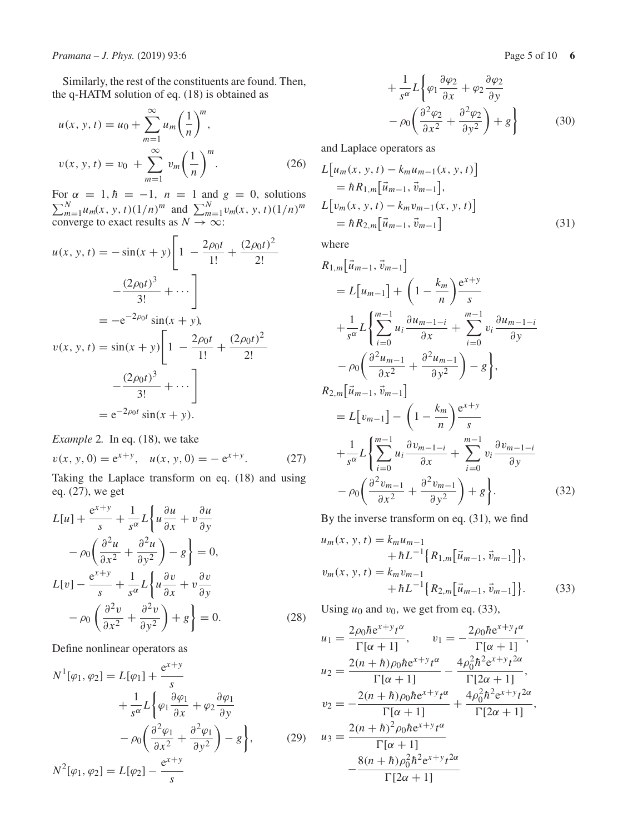Similarly, the rest of the constituents are found. Then, the q-HATM solution of eq. (18) is obtained as

$$
u(x, y, t) = u_0 + \sum_{m=1}^{\infty} u_m \left(\frac{1}{n}\right)^m,
$$
  

$$
v(x, y, t) = v_0 + \sum_{m=1}^{\infty} v_m \left(\frac{1}{n}\right)^m.
$$
 (26)

For  $\sum$  $r \alpha = 1, \hbar = -1, n = 1$  and  $g = 0$ , solutions<br>  $\sum_{m=1}^{N} u_m(x, y, t) (1/n)^m$  and  $\sum_{m=1}^{N} v_m(x, y, t) (1/n)^m$ converge to exact results as  $N \to \infty$ :

$$
u(x, y, t) = -\sin(x + y)\left[1 - \frac{2\rho_0 t}{1!} + \frac{(2\rho_0 t)^2}{2!} - \frac{(2\rho_0 t)^3}{3!} + \cdots\right]
$$
  
=  $-e^{-2\rho_0 t} \sin(x + y)$ ,  

$$
v(x, y, t) = \sin(x + y)\left[1 - \frac{2\rho_0 t}{1!} + \frac{(2\rho_0 t)^2}{2!} - \frac{(2\rho_0 t)^3}{3!} + \cdots\right]
$$
  
=  $e^{-2\rho_0 t} \sin(x + y)$ .

*Example* 2*.* In eq. (18), we take

$$
v(x, y, 0) = e^{x+y}, \quad u(x, y, 0) = -e^{x+y}.
$$
 (27)

Taking the Laplace transform on eq. (18) and using eq. (27), we get

$$
L[u] + \frac{e^{x+y}}{s} + \frac{1}{s^{\alpha}} L\left\{u\frac{\partial u}{\partial x} + v\frac{\partial u}{\partial y} \right\}
$$

$$
- \rho_0 \left(\frac{\partial^2 u}{\partial x^2} + \frac{\partial^2 u}{\partial y^2}\right) - g\right\} = 0,
$$

$$
L[v] - \frac{e^{x+y}}{s} + \frac{1}{s^{\alpha}} L\left\{u\frac{\partial v}{\partial x} + v\frac{\partial v}{\partial y} \right\}
$$

$$
- \rho_0 \left(\frac{\partial^2 v}{\partial x^2} + \frac{\partial^2 v}{\partial y^2}\right) + g\right\} = 0.
$$
(28)

Define nonlinear operators as

$$
N^{1}[\varphi_{1}, \varphi_{2}] = L[\varphi_{1}] + \frac{e^{x+y}}{s}
$$
  
+ 
$$
\frac{1}{s^{\alpha}} L\left\{\varphi_{1} \frac{\partial \varphi_{1}}{\partial x} + \varphi_{2} \frac{\partial \varphi_{1}}{\partial y} - \rho_{0} \left( \frac{\partial^{2} \varphi_{1}}{\partial x^{2}} + \frac{\partial^{2} \varphi_{1}}{\partial y^{2}} \right) - g \right\},
$$
 (29)  

$$
N^{2}[\varphi_{1}, \varphi_{2}] = L[\varphi_{2}] - \frac{e^{x+y}}{s}
$$

$$
+\frac{1}{s^{\alpha}}L\left\{\varphi_{1}\frac{\partial\varphi_{2}}{\partial x}+\varphi_{2}\frac{\partial\varphi_{2}}{\partial y} -\rho_{0}\left(\frac{\partial^{2}\varphi_{2}}{\partial x^{2}}+\frac{\partial^{2}\varphi_{2}}{\partial y^{2}}\right)+g\right\}
$$
(30)

and Laplace operators as

$$
L[u_m(x, y, t) - k_m u_{m-1}(x, y, t)]
$$
  
=  $\hbar R_{1,m}[\vec{u}_{m-1}, \vec{v}_{m-1}],$   

$$
L[v_m(x, y, t) - k_m v_{m-1}(x, y, t)]
$$
  
=  $\hbar R_{2,m}[\vec{u}_{m-1}, \vec{v}_{m-1}]$  (31)

where

$$
R_{1,m}[\vec{u}_{m-1}, \vec{v}_{m-1}]
$$
  
=  $L[u_{m-1}] + (1 - \frac{k_m}{n}) \frac{e^{x+y}}{s}$   
 $+ \frac{1}{s^{\alpha}} L\left\{\sum_{i=0}^{m-1} u_i \frac{\partial u_{m-1-i}}{\partial x} + \sum_{i=0}^{m-1} v_i \frac{\partial u_{m-1-i}}{\partial y} \right\}$   
 $- \rho_0 \left(\frac{\partial^2 u_{m-1}}{\partial x^2} + \frac{\partial^2 u_{m-1}}{\partial y^2}\right) - g\right\},$   
 $R_{2,m}[\vec{u}_{m-1}, \vec{v}_{m-1}]$   
=  $L[v_{m-1}] - (1 - \frac{k_m}{n}) \frac{e^{x+y}}{s}$   
 $+ \frac{1}{s^{\alpha}} L\left\{\sum_{i=0}^{m-1} u_i \frac{\partial v_{m-1-i}}{\partial x} + \sum_{i=0}^{m-1} v_i \frac{\partial v_{m-1-i}}{\partial y} \right\}$   
 $- \rho_0 \left(\frac{\partial^2 v_{m-1}}{\partial x^2} + \frac{\partial^2 v_{m-1}}{\partial y^2}\right) + g\right\}.$  (32)

By the inverse transform on eq. (31), we find

$$
u_m(x, y, t) = k_m u_{m-1}
$$
  
+  $\hbar L^{-1} \{ R_{1,m} [\vec{u}_{m-1}, \vec{v}_{m-1}] \},$   

$$
v_m(x, y, t) = k_m v_{m-1}
$$
  
+  $\hbar L^{-1} \{ R_{2,m} [\vec{u}_{m-1}, \vec{v}_{m-1}] \}.$  (33)

Using  $u_0$  and  $v_0$ , we get from eq. (33),

$$
u_1 = \frac{2\rho_0\hbar e^{x+y}t^{\alpha}}{\Gamma[\alpha+1]}, \qquad v_1 = -\frac{2\rho_0\hbar e^{x+y}t^{\alpha}}{\Gamma[\alpha+1]},
$$
  
\n
$$
u_2 = \frac{2(n+\hbar)\rho_0\hbar e^{x+y}t^{\alpha}}{\Gamma[\alpha+1]} - \frac{4\rho_0^2\hbar^2 e^{x+y}t^{2\alpha}}{\Gamma[2\alpha+1]},
$$
  
\n
$$
v_2 = -\frac{2(n+\hbar)\rho_0\hbar e^{x+y}t^{\alpha}}{\Gamma[\alpha+1]} + \frac{4\rho_0^2\hbar^2 e^{x+y}t^{2\alpha}}{\Gamma[2\alpha+1]},
$$
  
\n
$$
u_3 = \frac{2(n+\hbar)^2\rho_0\hbar e^{x+y}t^{\alpha}}{\Gamma[\alpha+1]} - \frac{8(n+\hbar)\rho_0^2\hbar^2 e^{x+y}t^{2\alpha}}{\Gamma[2\alpha+1]}
$$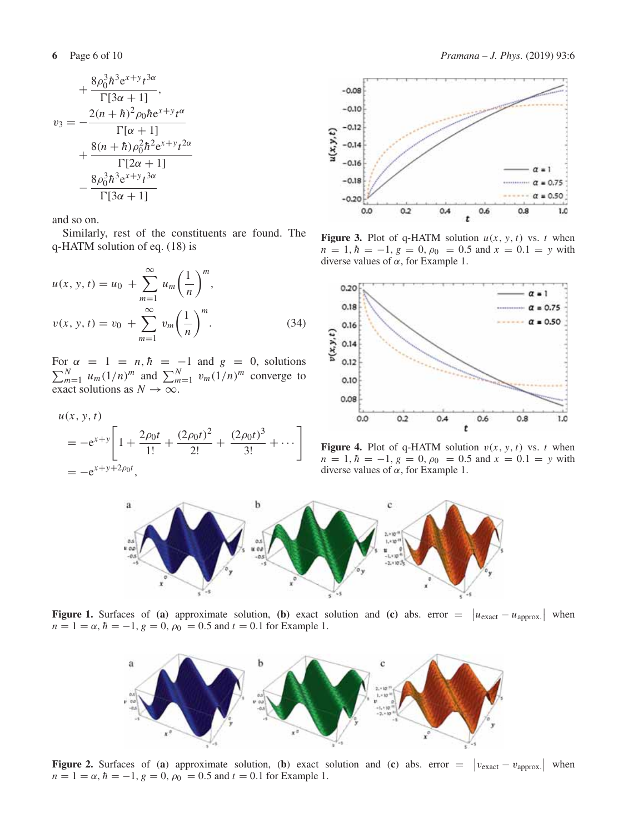$$
+\frac{8\rho_0^3\hbar^3e^{x+y}t^{3\alpha}}{\Gamma[3\alpha+1]},
$$
  

$$
v_3 = -\frac{2(n+\hbar)^2\rho_0\hbar e^{x+y}t^{\alpha}}{\Gamma[\alpha+1]} + \frac{8(n+\hbar)\rho_0^2\hbar^2e^{x+y}t^{2\alpha}}{\Gamma[2\alpha+1]} - \frac{8\rho_0^3\hbar^3e^{x+y}t^{3\alpha}}{\Gamma[3\alpha+1]}
$$

and so on.

Similarly, rest of the constituents are found. The q-HATM solution of eq. (18) is

$$
u(x, y, t) = u_0 + \sum_{m=1}^{\infty} u_m \left(\frac{1}{n}\right)^m,
$$
  

$$
v(x, y, t) = v_0 + \sum_{m=1}^{\infty} v_m \left(\frac{1}{n}\right)^m.
$$
 (34)

For  $\sum$  $\alpha = 1 = n, \hbar = -1 \text{ and } g = 0, \text{ solutions}$ <br> *N*<sub>*m*=1</sub> *u<sub>m</sub>*(1/*n*)<sup>*m*</sup> and  $\sum_{m=1}^{N} v_m (1/n)^m$  converge to exact solutions as  $N \to \infty$ .

$$
u(x, y, t)
$$
  
= -e<sup>x+y</sup>  $\left[ 1 + \frac{2\rho_0 t}{1!} + \frac{(2\rho_0 t)^2}{2!} + \frac{(2\rho_0 t)^3}{3!} + \cdots \right]$   
= -e<sup>x+y+2\rho\_0 t</sup>,



**Figure 3.** Plot of q-HATM solution  $u(x, y, t)$  vs. *t* when  $n = 1, \hbar = -1, g = 0, \rho_0 = 0.5$  and  $x = 0.1 = y$  with diverse values of  $\alpha$ , for Example 1.



**Figure 4.** Plot of q-HATM solution  $v(x, y, t)$  vs. *t* when  $n = 1, \hbar = -1, g = 0, \rho_0 = 0.5$  and  $x = 0.1 = y$  with diverse values of  $\alpha$ , for Example 1.



**Figure 1.** Surfaces of **(a)** approximate solution, **(b)** exact solution and **(c)** abs. error =  $|u_{\text{exact}} - u_{\text{approx}}|$  when  $n = 1 = \alpha$ ,  $\hbar = -1$ ,  $g = 0$ ,  $\rho_0 = 0.5$  and  $t = 0.1$  for Example 1.



**Figure 2.** Surfaces of (**a**) approximate solution, (**b**) exact solution and (**c**) abs. error =  $|v_{\text{exact}} - v_{\text{approx}}|$  when  $n = 1 = \alpha$ ,  $\hbar = -1$ ,  $g = 0$ ,  $\rho_0 = 0.5$  and  $t = 0.1$  for Example 1.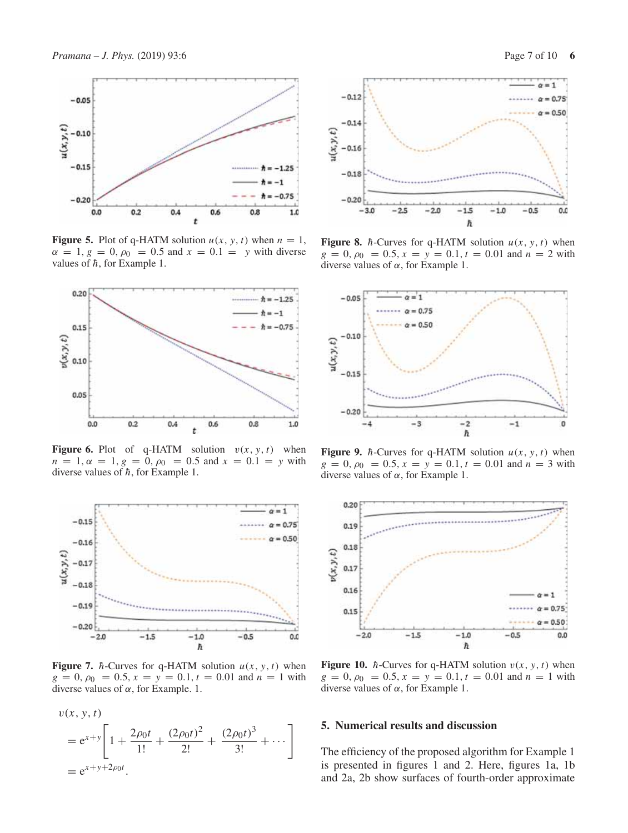

**Figure 5.** Plot of q-HATM solution  $u(x, y, t)$  when  $n = 1$ ,  $\alpha = 1, g = 0, \rho_0 = 0.5$  and  $x = 0.1 = y$  with diverse values of  $\hbar$ , for Example 1.



**Figure 6.** Plot of q-HATM solution  $v(x, y, t)$  when  $n = 1, \alpha = 1, g = 0, \rho_0 = 0.5$  and  $x = 0.1 = y$  with diverse values of  $\hbar$ , for Example 1.



**Figure 7.** *h*-Curves for q-HATM solution  $u(x, y, t)$  when  $g = 0, \rho_0 = 0.5, x = y = 0.1, t = 0.01$  and  $n = 1$  with diverse values of  $\alpha$ , for Example. 1.





**Figure 8.**  $\hbar$ -Curves for q-HATM solution  $u(x, y, t)$  when  $g = 0, \rho_0 = 0.5, x = y = 0.1, t = 0.01$  and  $n = 2$  with diverse values of  $α$ , for Example 1.



**Figure 9.**  $\hbar$ -Curves for q-HATM solution  $u(x, y, t)$  when  $g = 0, \rho_0 = 0.5, x = y = 0.1, t = 0.01$  and  $n = 3$  with diverse values of  $\alpha$ , for Example 1.



**Figure 10.**  $\hbar$ -Curves for q-HATM solution  $v(x, y, t)$  when  $g = 0, \rho_0 = 0.5, x = y = 0.1, t = 0.01$  and  $n = 1$  with diverse values of  $\alpha$ , for Example 1.

### **5. Numerical results and discussion**

The efficiency of the proposed algorithm for Example 1 is presented in figures 1 and 2. Here, figures 1a, 1b and 2a, 2b show surfaces of fourth-order approximate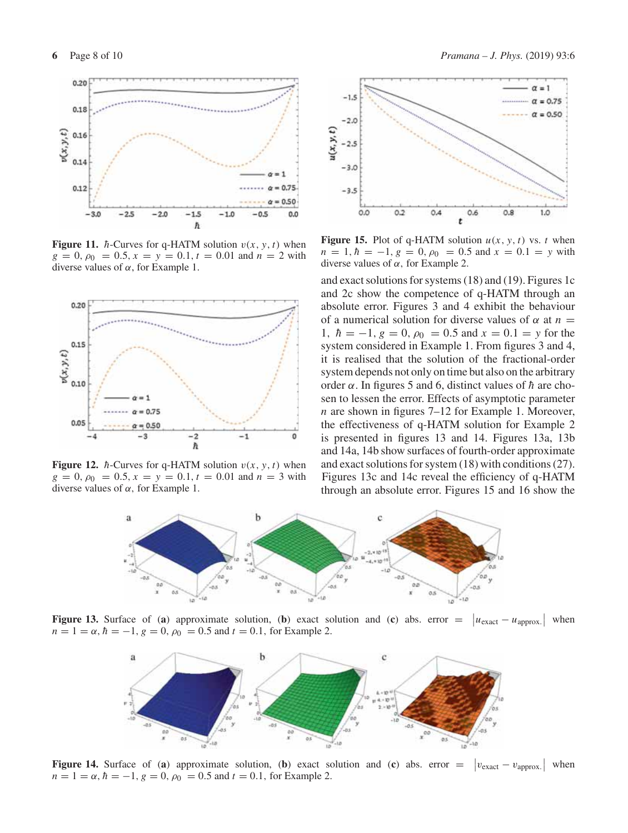

**Figure 11.** *h*-Curves for q-HATM solution  $v(x, y, t)$  when  $g = 0, \rho_0 = 0.5, x = y = 0.1, t = 0.01$  and  $n = 2$  with diverse values of  $α$ , for Example 1.



**Figure 12.** *h*-Curves for q-HATM solution  $v(x, y, t)$  when  $g = 0, \rho_0 = 0.5, x = y = 0.1, t = 0.01$  and  $n = 3$  with diverse values of  $α$ , for Example 1.



 $-1.5$  $-2.0$  $u(x, y, t)$  $-2.5$  $-3.0$  $-3.5$ 0.6  $0.0$  $0.7$  $0.8$ 1.0 0.4 ٠

**Figure 15.** Plot of q-HATM solution  $u(x, y, t)$  vs. *t* when  $n = 1, \hbar = -1, g = 0, \rho_0 = 0.5$  and  $x = 0.1 = y$  with diverse values of  $α$ , for Example 2.

and exact solutions for systems (18) and (19). Figures 1c and 2c show the competence of q-HATM through an absolute error. Figures 3 and 4 exhibit the behaviour of a numerical solution for diverse values of  $\alpha$  at  $n =$ 1,  $\hbar = -1$ ,  $g = 0$ ,  $\rho_0 = 0.5$  and  $x = 0.1 = y$  for the system considered in Example 1. From figures 3 and 4, it is realised that the solution of the fractional-order system depends not only on time but also on the arbitrary order  $\alpha$ . In figures 5 and 6, distinct values of  $\hbar$  are chosen to lessen the error. Effects of asymptotic parameter *n* are shown in figures 7–12 for Example 1. Moreover, the effectiveness of q-HATM solution for Example 2 is presented in figures 13 and 14. Figures 13a, 13b and 14a, 14b show surfaces of fourth-order approximate and exact solutions for system (18) with conditions (27). Figures 13c and 14c reveal the efficiency of q-HATM through an absolute error. Figures 15 and 16 show the



**Figure 13.** Surface of (**a**) approximate solution, (**b**) exact solution and (**c**) abs. error =  $|u_{\text{exact}} - u_{\text{approx.}}|$  when  $n = 1 = \alpha$ ,  $\hbar = -1$ ,  $g = 0$ ,  $\rho_0 = 0.5$  and  $t = 0.1$ , for Example 2.



**Figure 14.** Surface of (a) approximate solution, (b) exact solution and (c) abs. error  $=$  $|v_{\text{exact}} - v_{\text{approx.}}|$  when  $n = 1 = \alpha$ ,  $\hbar = -1$ ,  $g = 0$ ,  $\rho_0 = 0.5$  and  $t = 0.1$ , for Example 2.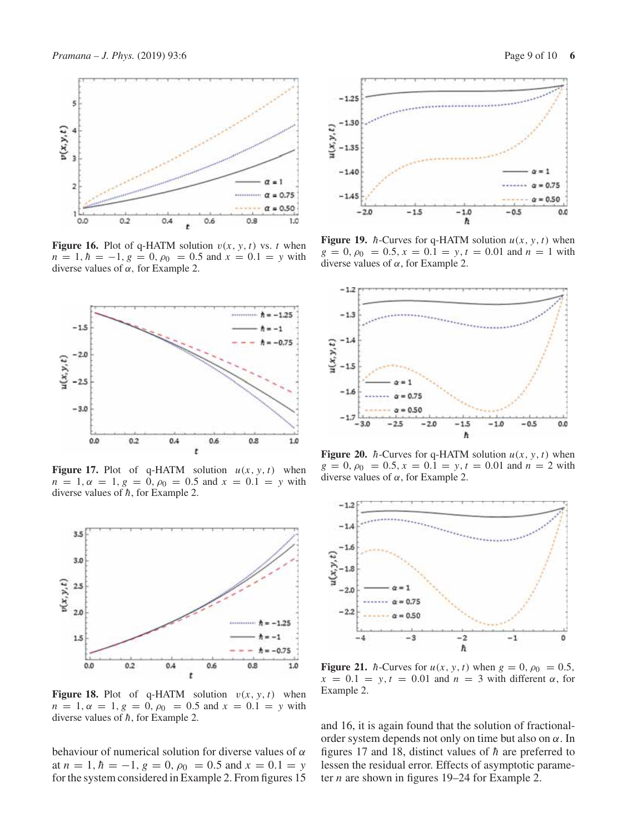

**Figure 16.** Plot of q-HATM solution  $v(x, y, t)$  vs. *t* when  $n = 1, h = -1, g = 0, \rho_0 = 0.5$  and  $x = 0.1 = y$  with diverse values of  $α$ , for Example 2.



**Figure 17.** Plot of q-HATM solution  $u(x, y, t)$  when  $n = 1, \alpha = 1, g = 0, \rho_0 = 0.5$  and  $x = 0.1 = y$  with diverse values of  $\hbar$ , for Example 2.



**Figure 18.** Plot of q-HATM solution  $v(x, y, t)$  when  $n = 1, \alpha = 1, g = 0, \rho_0 = 0.5$  and  $x = 0.1 = y$  with diverse values of  $\hbar$ , for Example 2.

behaviour of numerical solution for diverse values of  $\alpha$ at  $n = 1$ ,  $\hbar = -1$ ,  $g = 0$ ,  $\rho_0 = 0.5$  and  $x = 0.1 = y$ for the system considered in Example 2. From figures 15



**Figure 19.**  $\hbar$ -Curves for q-HATM solution  $u(x, y, t)$  when  $g = 0, \rho_0 = 0.5, x = 0.1 = y, t = 0.01$  and  $n = 1$  with diverse values of  $α$ , for Example 2.



**Figure 20.** *h*-Curves for q-HATM solution  $u(x, y, t)$  when  $g = 0, \rho_0 = 0.5, x = 0.1 = y, t = 0.01$  and  $n = 2$  with diverse values of  $\alpha$ , for Example 2.



**Figure 21.** *h*-Curves for  $u(x, y, t)$  when  $g = 0$ ,  $\rho_0 = 0.5$ ,  $x = 0.1 = y, t = 0.01$  and  $n = 3$  with different  $\alpha$ , for Example 2.

and 16, it is again found that the solution of fractionalorder system depends not only on time but also on  $\alpha$ . In figures 17 and 18, distinct values of  $\hbar$  are preferred to lessen the residual error. Effects of asymptotic parameter *n* are shown in figures 19–24 for Example 2.